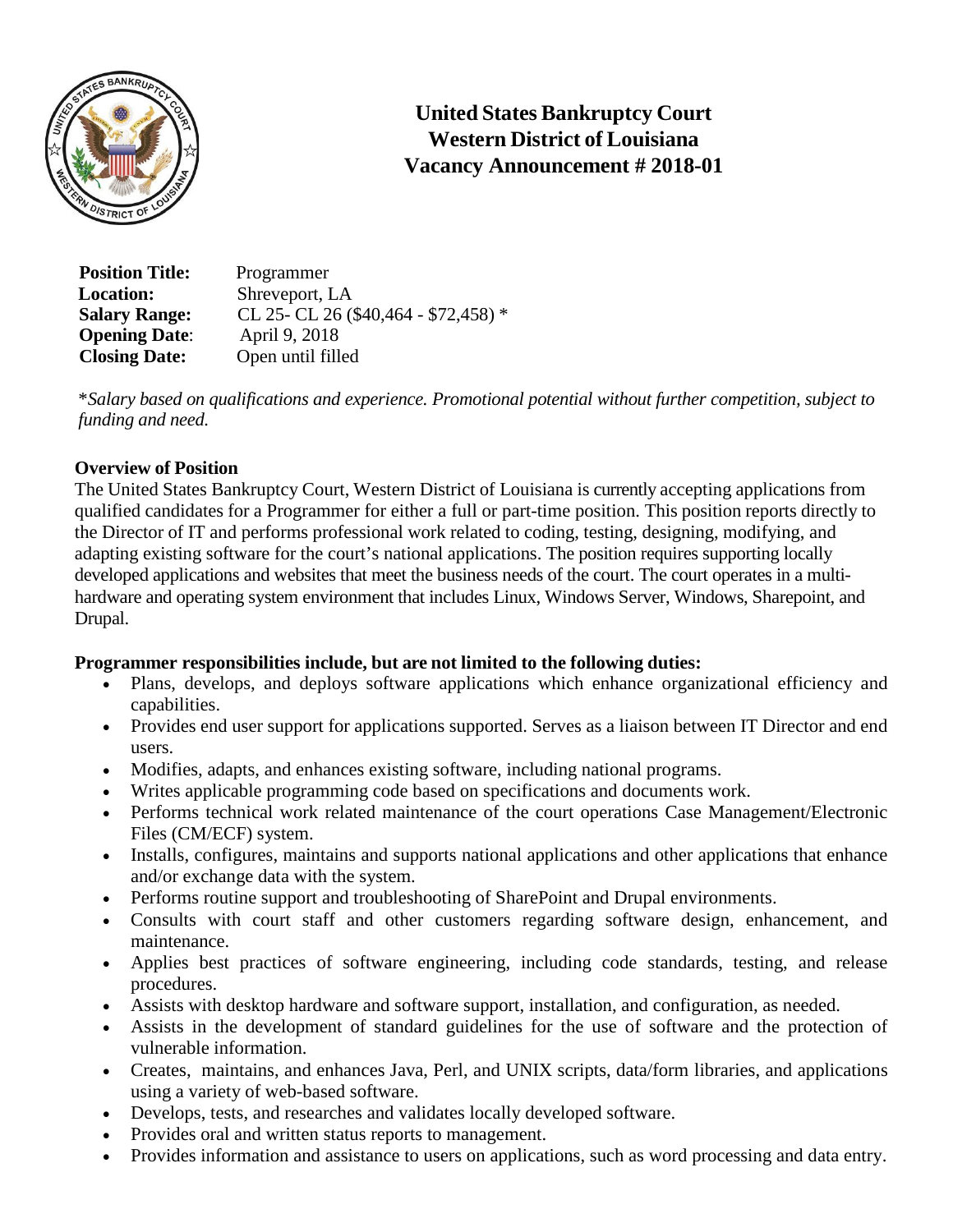

**United States Bankruptcy Court Western District of Louisiana Vacancy Announcement # 2018-01**

 **Position Title:** Programmer **Location:** Shreveport, LA **Salary Range:** CL 25- CL 26 (\$40,464 - \$72,458) \*<br> **Opening Date:** April 9, 2018 **Opening Date: Closing Date:** Open until filled

\**Salary based on qualifications and experience. Promotional potential without further competition, subject to funding and need.*

# **Overview of Position**

The United States Bankruptcy Court, Western District of Louisiana is currently accepting applications from qualified candidates for a Programmer for either a full or part-time position. This position reports directly to the Director of IT and performs professional work related to coding, testing, designing, modifying, and adapting existing software for the court's national applications. The position requires supporting locally developed applications and websites that meet the business needs of the court. The court operates in a multihardware and operating system environment that includes Linux, Windows Server, Windows, Sharepoint, and Drupal.

# **Programmer responsibilities include, but are not limited to the following duties:**

- Plans, develops, and deploys software applications which enhance organizational efficiency and capabilities.
- Provides end user support for applications supported. Serves as a liaison between IT Director and end users.
- Modifies, adapts, and enhances existing software, including national programs.
- Writes applicable programming code based on specifications and documents work.
- Performs technical work related maintenance of the court operations Case Management/Electronic Files (CM/ECF) system.
- Installs, configures, maintains and supports national applications and other applications that enhance and/or exchange data with the system.
- Performs routine support and troubleshooting of SharePoint and Drupal environments.
- Consults with court staff and other customers regarding software design, enhancement, and maintenance.
- Applies best practices of software engineering, including code standards, testing, and release procedures.
- Assists with desktop hardware and software support, installation, and configuration, as needed.
- Assists in the development of standard guidelines for the use of software and the protection of vulnerable information.
- Creates, maintains, and enhances Java, Perl, and UNIX scripts, data/form libraries, and applications using a variety of web-based software.
- Develops, tests, and researches and validates locally developed software.
- Provides oral and written status reports to management.
- Provides information and assistance to users on applications, such as word processing and data entry.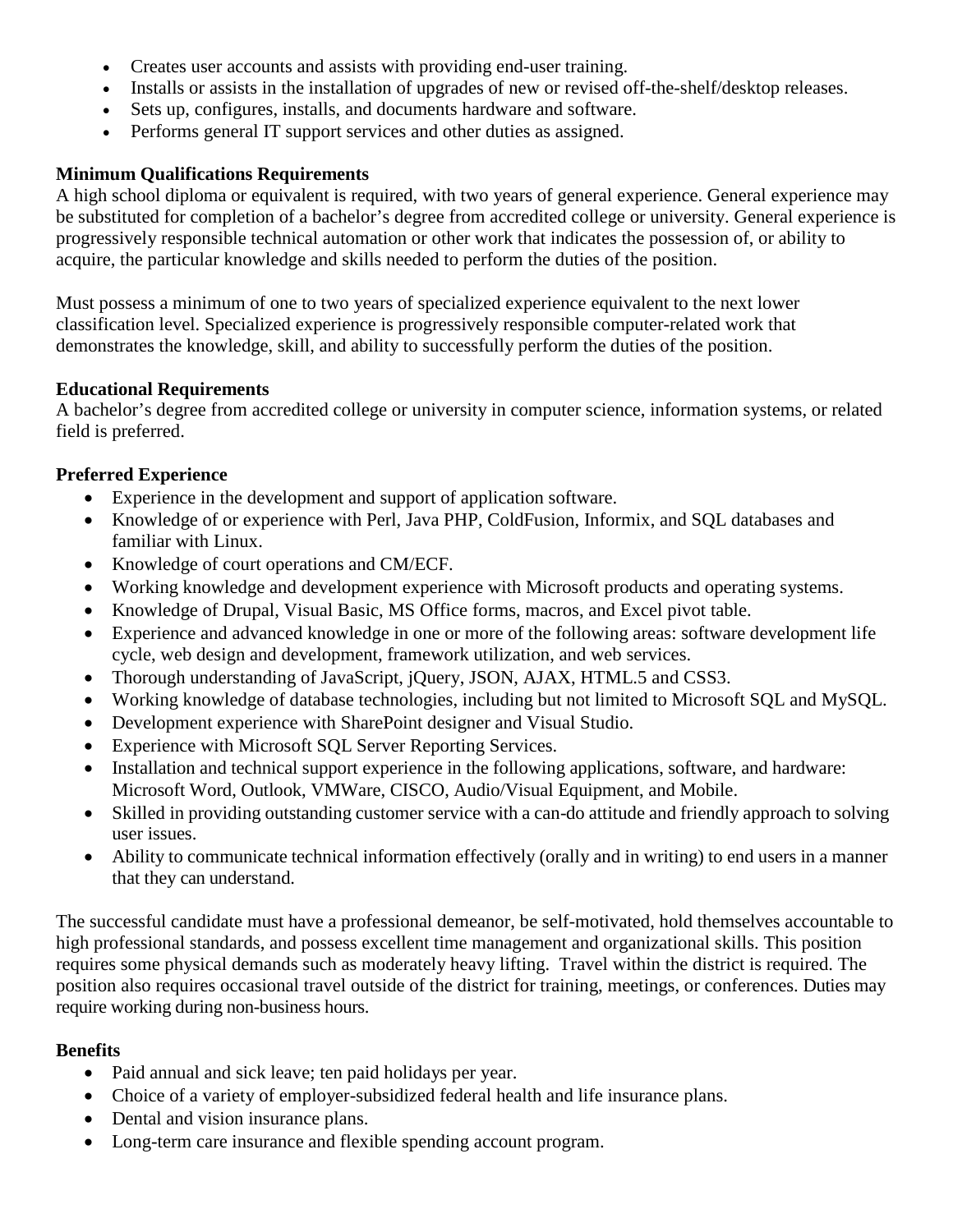- Creates user accounts and assists with providing end-user training.
- Installs or assists in the installation of upgrades of new or revised off-the-shelf/desktop releases.
- Sets up, configures, installs, and documents hardware and software.
- Performs general IT support services and other duties as assigned.

# **Minimum Qualifications Requirements**

A high school diploma or equivalent is required, with two years of general experience. General experience may be substituted for completion of a bachelor's degree from accredited college or university. General experience is progressively responsible technical automation or other work that indicates the possession of, or ability to acquire, the particular knowledge and skills needed to perform the duties of the position.

Must possess a minimum of one to two years of specialized experience equivalent to the next lower classification level. Specialized experience is progressively responsible computer-related work that demonstrates the knowledge, skill, and ability to successfully perform the duties of the position.

### **Educational Requirements**

A bachelor's degree from accredited college or university in computer science, information systems, or related field is preferred.

### **Preferred Experience**

- Experience in the development and support of application software.
- Knowledge of or experience with Perl, Java PHP, ColdFusion, Informix, and SQL databases and familiar with Linux.
- Knowledge of court operations and CM/ECF.
- Working knowledge and development experience with Microsoft products and operating systems.
- Knowledge of Drupal, Visual Basic, MS Office forms, macros, and Excel pivot table.
- Experience and advanced knowledge in one or more of the following areas: software development life cycle, web design and development, framework utilization, and web services.
- Thorough understanding of JavaScript, jQuery, JSON, AJAX, HTML.5 and CSS3.
- Working knowledge of database technologies, including but not limited to Microsoft SQL and MySQL.
- Development experience with SharePoint designer and Visual Studio.
- Experience with Microsoft SQL Server Reporting Services.
- Installation and technical support experience in the following applications, software, and hardware: Microsoft Word, Outlook, VMWare, CISCO, Audio/Visual Equipment, and Mobile.
- Skilled in providing outstanding customer service with a can-do attitude and friendly approach to solving user issues.
- Ability to communicate technical information effectively (orally and in writing) to end users in a manner that they can understand.

The successful candidate must have a professional demeanor, be self-motivated, hold themselves accountable to high professional standards, and possess excellent time management and organizational skills. This position requires some physical demands such as moderately heavy lifting. Travel within the district is required. The position also requires occasional travel outside of the district for training, meetings, or conferences. Duties may require working during non-business hours.

### **Benefits**

- Paid annual and sick leave; ten paid holidays per year.
- Choice of a variety of employer-subsidized federal health and life insurance plans.
- Dental and vision insurance plans.
- Long-term care insurance and flexible spending account program.